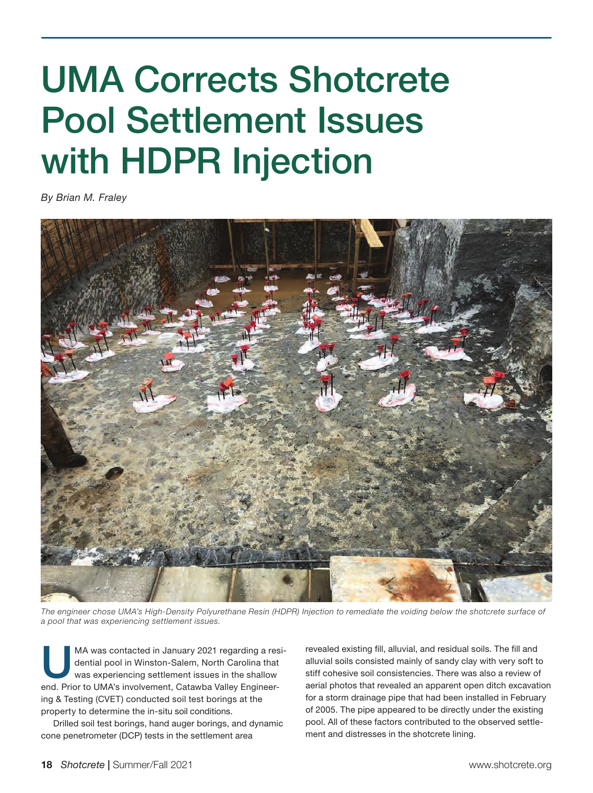## UMA Corrects Shotcrete Pool Settlement Issues with HDPR Injection

*By Brian M. Fraley*



*The engineer chose UMA's High-Density Polyurethane Resin (HDPR) Injection to remediate the voiding below the shotcrete surface of a pool that was experiencing settlement issues.*

MA was contacted in January 2021 regarding a residential pool in Winston-Salem, North Carolina that was experiencing settlement issues in the shallow end. Prior to UMA's involvement, Catawba Valley Engineering & Testing (CVET) conducted soil test borings at the property to determine the in-situ soil conditions.

Drilled soil test borings, hand auger borings, and dynamic cone penetrometer (DCP) tests in the settlement area

revealed existing fill, alluvial, and residual soils. The fill and alluvial soils consisted mainly of sandy clay with very soft to stiff cohesive soil consistencies. There was also a review of aerial photos that revealed an apparent open ditch excavation for a storm drainage pipe that had been installed in February of 2005. The pipe appeared to be directly under the existing pool. All of these factors contributed to the observed settlement and distresses in the shotcrete lining.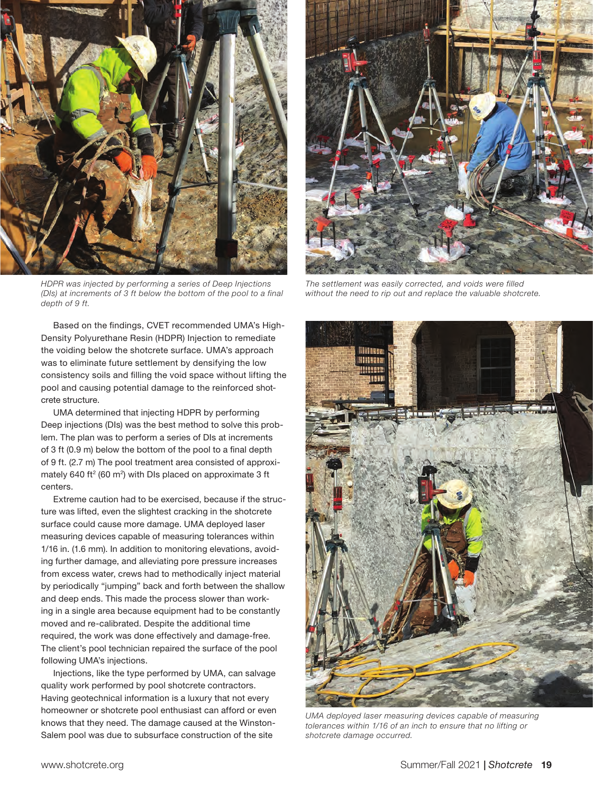

*HDPR was injected by performing a series of Deep Injections (DIs) at increments of 3 ft below the bottom of the pool to a final depth of 9 ft.* 

Based on the findings, CVET recommended UMA's High-Density Polyurethane Resin (HDPR) Injection to remediate the voiding below the shotcrete surface. UMA's approach was to eliminate future settlement by densifying the low consistency soils and filling the void space without lifting the pool and causing potential damage to the reinforced shotcrete structure.

UMA determined that injecting HDPR by performing Deep injections (DIs) was the best method to solve this problem. The plan was to perform a series of DIs at increments of 3 ft (0.9 m) below the bottom of the pool to a final depth of 9 ft. (2.7 m) The pool treatment area consisted of approximately 640 ft<sup>2</sup> (60 m<sup>2</sup>) with DIs placed on approximate 3 ft centers.

Extreme caution had to be exercised, because if the structure was lifted, even the slightest cracking in the shotcrete surface could cause more damage. UMA deployed laser measuring devices capable of measuring tolerances within 1/16 in. (1.6 mm). In addition to monitoring elevations, avoiding further damage, and alleviating pore pressure increases from excess water, crews had to methodically inject material by periodically "jumping" back and forth between the shallow and deep ends. This made the process slower than working in a single area because equipment had to be constantly moved and re-calibrated. Despite the additional time required, the work was done effectively and damage-free. The client's pool technician repaired the surface of the pool following UMA's injections.

Injections, like the type performed by UMA, can salvage quality work performed by pool shotcrete contractors. Having geotechnical information is a luxury that not every homeowner or shotcrete pool enthusiast can afford or even knows that they need. The damage caused at the Winston-Salem pool was due to subsurface construction of the site



*The settlement was easily corrected, and voids were filled without the need to rip out and replace the valuable shotcrete.*



*UMA deployed laser measuring devices capable of measuring tolerances within 1/16 of an inch to ensure that no lifting or shotcrete damage occurred.*